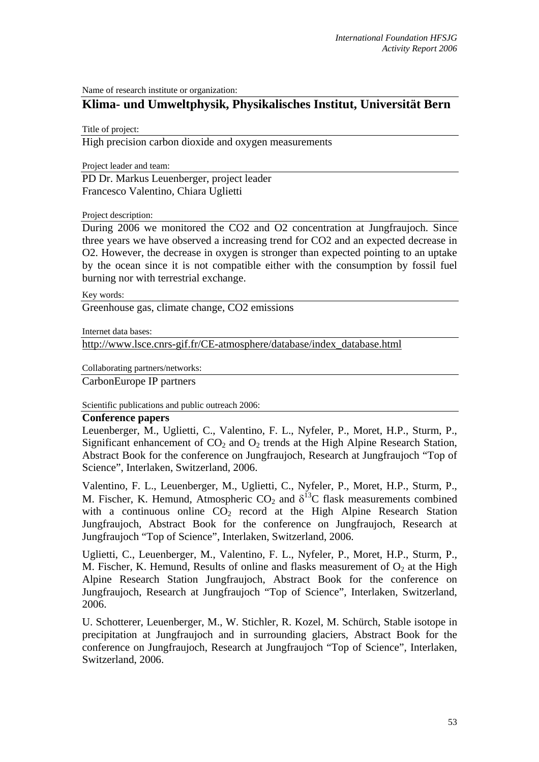Name of research institute or organization:

## **Klima- und Umweltphysik, Physikalisches Institut, Universität Bern**

Title of project:

High precision carbon dioxide and oxygen measurements

Project leader and team:

PD Dr. Markus Leuenberger, project leader Francesco Valentino, Chiara Uglietti

Project description:

During 2006 we monitored the CO2 and O2 concentration at Jungfraujoch. Since three years we have observed a increasing trend for CO2 and an expected decrease in O2. However, the decrease in oxygen is stronger than expected pointing to an uptake by the ocean since it is not compatible either with the consumption by fossil fuel burning nor with terrestrial exchange.

Key words:

Greenhouse gas, climate change, CO2 emissions

Internet data bases:

http://www.lsce.cnrs-gif.fr/CE-atmosphere/database/index\_database.html

Collaborating partners/networks:

CarbonEurope IP partners

Scientific publications and public outreach 2006:

## **Conference papers**

Leuenberger, M., Uglietti, C., Valentino, F. L., Nyfeler, P., Moret, H.P., Sturm, P., Significant enhancement of  $CO<sub>2</sub>$  and  $O<sub>2</sub>$  trends at the High Alpine Research Station, Abstract Book for the conference on Jungfraujoch, Research at Jungfraujoch "Top of Science", Interlaken, Switzerland, 2006.

Valentino, F. L., Leuenberger, M., Uglietti, C., Nyfeler, P., Moret, H.P., Sturm, P., M. Fischer, K. Hemund, Atmospheric  $CO_2$  and  $\delta^{13}C$  flask measurements combined with a continuous online  $CO<sub>2</sub>$  record at the High Alpine Research Station Jungfraujoch, Abstract Book for the conference on Jungfraujoch, Research at Jungfraujoch "Top of Science", Interlaken, Switzerland, 2006.

Uglietti, C., Leuenberger, M., Valentino, F. L., Nyfeler, P., Moret, H.P., Sturm, P., M. Fischer, K. Hemund, Results of online and flasks measurement of  $O_2$  at the High Alpine Research Station Jungfraujoch, Abstract Book for the conference on Jungfraujoch, Research at Jungfraujoch "Top of Science", Interlaken, Switzerland, 2006.

U. Schotterer, Leuenberger, M., W. Stichler, R. Kozel, M. Schürch, Stable isotope in precipitation at Jungfraujoch and in surrounding glaciers, Abstract Book for the conference on Jungfraujoch, Research at Jungfraujoch "Top of Science", Interlaken, Switzerland, 2006.